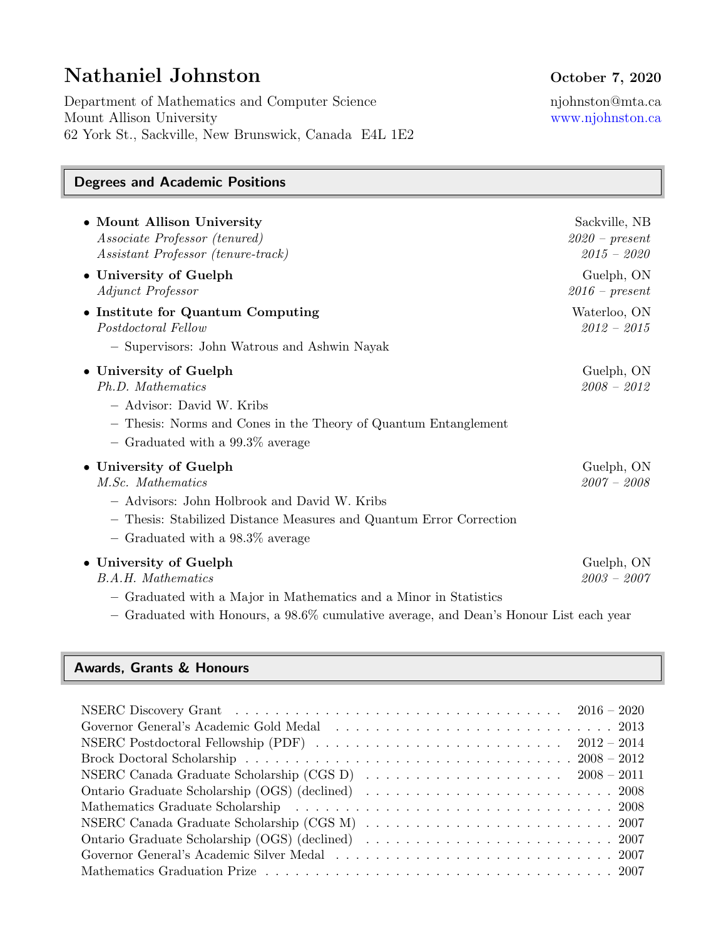# Nathaniel Johnston October 7, 2020

Department of Mathematics and Computer Science njohnston@mta.ca Mount Allison University [www.njohnston.ca](http://www.njohnston.ca/) 62 York St., Sackville, New Brunswick, Canada E4L 1E2

# Degrees and Academic Positions

| • Mount Allison University<br>Associate Professor (tenured)<br>Assistant Professor (tenure-track)                                                                                                         | Sackville, NB<br>$2020$ – present<br>$2015 - 2020$ |
|-----------------------------------------------------------------------------------------------------------------------------------------------------------------------------------------------------------|----------------------------------------------------|
| • University of Guelph<br>Adjunct Professor                                                                                                                                                               | Guelph, ON<br>$2016$ – present                     |
| • Institute for Quantum Computing<br>Postdoctoral Fellow<br>- Supervisors: John Watrous and Ashwin Nayak                                                                                                  | Waterloo, ON<br>$2012 - 2015$                      |
| • University of Guelph<br>Ph.D. Mathematics<br>- Advisor: David W. Kribs<br>- Thesis: Norms and Cones in the Theory of Quantum Entanglement<br>$-$ Graduated with a 99.3\% average                        | Guelph, ON<br>$2008 - 2012$                        |
| • University of Guelph<br>M.Sc. Mathematics<br>- Advisors: John Holbrook and David W. Kribs<br>- Thesis: Stabilized Distance Measures and Quantum Error Correction<br>$-$ Graduated with a 98.3\% average | Guelph, ON<br>$2007 - 2008$                        |
| • University of Guelph<br><b>B.A.H.</b> Mathematics<br>- Graduated with a Major in Mathematics and a Minor in Statistics                                                                                  | Guelph, ON<br>$2003 - 2007$                        |

– Graduated with Honours, a 98.6% cumulative average, and Dean's Honour List each year

### Awards, Grants & Honours

| Brock Doctoral Scholarship $\ldots \ldots \ldots \ldots \ldots \ldots \ldots \ldots \ldots \ldots \ldots \ldots 2008 - 2012$ |
|------------------------------------------------------------------------------------------------------------------------------|
| NSERC Canada Graduate Scholarship (CGS D) $\ldots \ldots \ldots \ldots \ldots \ldots \ldots \ldots$ 2008 – 2011              |
|                                                                                                                              |
|                                                                                                                              |
|                                                                                                                              |
|                                                                                                                              |
|                                                                                                                              |
|                                                                                                                              |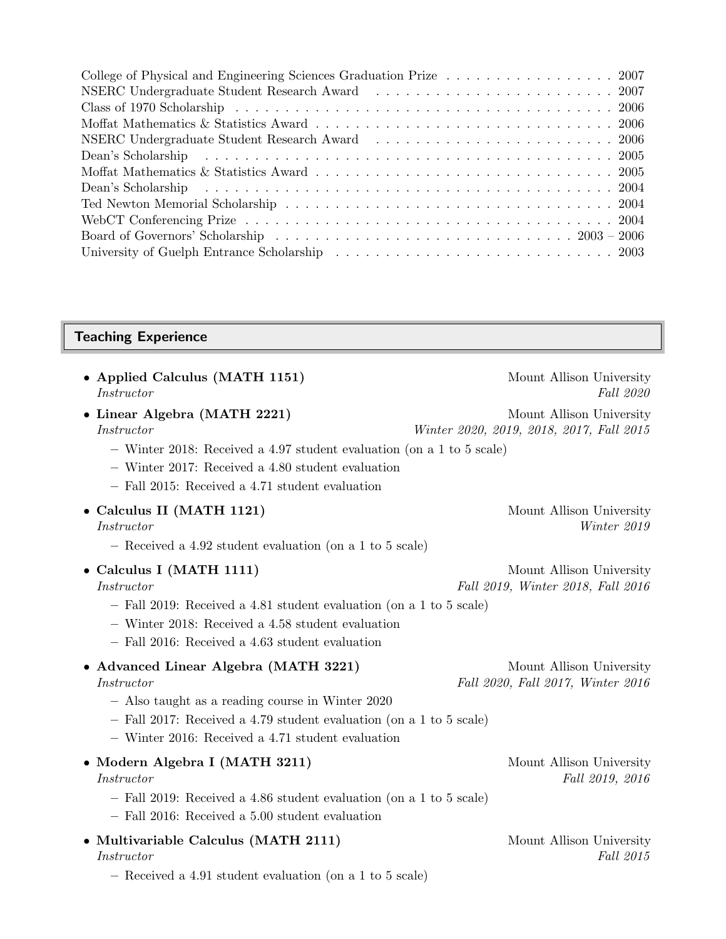| College of Physical and Engineering Sciences Graduation Prize 2007                                                                                                                                                             |
|--------------------------------------------------------------------------------------------------------------------------------------------------------------------------------------------------------------------------------|
| NSERC Undergraduate Student Research Award Francisco Constantinople of the Student Research Award Francisco Constantinople of the Student Student Student Student Student Student Student Student Student Student Student Stud |
|                                                                                                                                                                                                                                |
|                                                                                                                                                                                                                                |
| NSERC Undergraduate Student Research Award Francisco Constantinople of the Student Research Award Francisco Constantinople of the Student Student Student Student Student Student Student Student Student Student Student Stud |
| Dean's Scholarship (a) in the contract of the contract of the contract of the contract of the contract of the contract of the contract of the contract of the contract of the contract of the contract of the contract of the  |
|                                                                                                                                                                                                                                |
| Dean's Scholarship (a) in the contract of the contract of the contract of the contract of the contract of the contract of the contract of the contract of the contract of the contract of the contract of the contract of the  |
|                                                                                                                                                                                                                                |
|                                                                                                                                                                                                                                |
|                                                                                                                                                                                                                                |
|                                                                                                                                                                                                                                |

# Teaching Experience

| • Applied Calculus (MATH 1151)<br>Instructor                                                                                                                                                                                        | Mount Allison University<br>Fall 2020                                |
|-------------------------------------------------------------------------------------------------------------------------------------------------------------------------------------------------------------------------------------|----------------------------------------------------------------------|
| • Linear Algebra (MATH 2221)<br><i>Instructor</i><br>- Winter 2018: Received a 4.97 student evaluation (on a 1 to 5 scale)                                                                                                          | Mount Allison University<br>Winter 2020, 2019, 2018, 2017, Fall 2015 |
| $-$ Winter 2017: Received a 4.80 student evaluation<br>- Fall 2015: Received a 4.71 student evaluation                                                                                                                              |                                                                      |
| • Calculus II (MATH 1121)<br><i>Instructor</i><br>- Received a 4.92 student evaluation (on a 1 to 5 scale)                                                                                                                          | Mount Allison University<br>Winter 2019                              |
| • Calculus I (MATH 1111)<br><i>Instructor</i><br>- Fall 2019: Received a 4.81 student evaluation (on a 1 to 5 scale)<br>- Winter 2018: Received a 4.58 student evaluation<br>- Fall 2016: Received a 4.63 student evaluation        | Mount Allison University<br>Fall 2019, Winter 2018, Fall 2016        |
| • Advanced Linear Algebra (MATH 3221)<br>Instructor<br>- Also taught as a reading course in Winter 2020<br>- Fall 2017: Received a 4.79 student evaluation (on a 1 to 5 scale)<br>- Winter 2016: Received a 4.71 student evaluation | Mount Allison University<br>Fall 2020, Fall 2017, Winter 2016        |
| • Modern Algebra I (MATH 3211)<br><i>Instructor</i><br>- Fall 2019: Received a 4.86 student evaluation (on a 1 to 5 scale)<br>- Fall 2016: Received a 5.00 student evaluation                                                       | Mount Allison University<br>Fall 2019, 2016                          |
| • Multivariable Calculus (MATH 2111)<br><i>Instructor</i><br>- Received a 4.91 student evaluation (on a 1 to 5 scale)                                                                                                               | Mount Allison University<br>Fall 2015                                |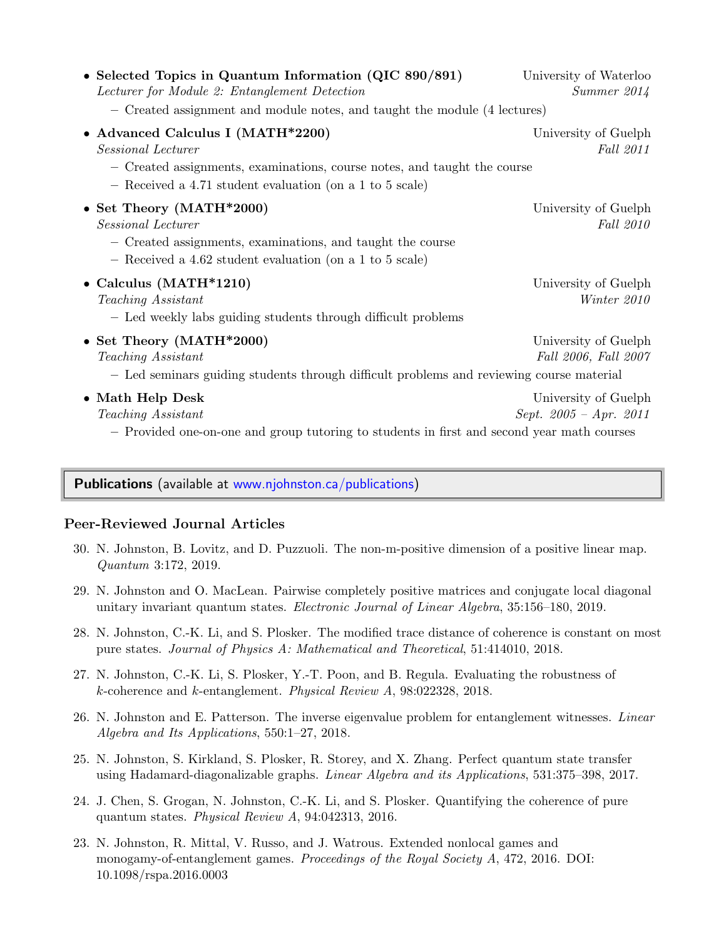| • Selected Topics in Quantum Information (QIC 890/891)<br>Lecturer for Module 2: Entanglement Detection<br>- Created assignment and module notes, and taught the module (4 lectures)            | University of Waterloo<br>Summer 2014            |
|-------------------------------------------------------------------------------------------------------------------------------------------------------------------------------------------------|--------------------------------------------------|
| • Advanced Calculus I (MATH*2200)<br>Sessional Lecturer<br>- Created assignments, examinations, course notes, and taught the course<br>- Received a 4.71 student evaluation (on a 1 to 5 scale) | University of Guelph<br>Fall 2011                |
| • Set Theory (MATH*2000)<br>Sessional Lecturer<br>- Created assignments, examinations, and taught the course<br>- Received a 4.62 student evaluation (on a 1 to 5 scale)                        | University of Guelph<br>Fall 2010                |
| • Calculus $(MATH*1210)$<br>Teaching Assistant<br>- Led weekly labs guiding students through difficult problems                                                                                 | University of Guelph<br>Winter 2010              |
| • Set Theory (MATH*2000)<br>Teaching Assistant<br>- Led seminars guiding students through difficult problems and reviewing course material                                                      | University of Guelph<br>Fall 2006, Fall 2007     |
| • Math Help Desk<br>Teaching Assistant<br>- Provided one-on-one and group tutoring to students in first and second year math courses                                                            | University of Guelph<br>Sept. $2005 - Apr.$ 2011 |

# Publications (available at [www.njohnston.ca/publications\)](http://www.njohnston.ca/publications)

#### Peer-Reviewed Journal Articles

- 30. N. Johnston, B. Lovitz, and D. Puzzuoli. The non-m-positive dimension of a positive linear map. Quantum 3:172, 2019.
- 29. N. Johnston and O. MacLean. Pairwise completely positive matrices and conjugate local diagonal unitary invariant quantum states. Electronic Journal of Linear Algebra, 35:156–180, 2019.
- 28. N. Johnston, C.-K. Li, and S. Plosker. The modified trace distance of coherence is constant on most pure states. Journal of Physics A: Mathematical and Theoretical, 51:414010, 2018.
- 27. N. Johnston, C.-K. Li, S. Plosker, Y.-T. Poon, and B. Regula. Evaluating the robustness of k-coherence and k-entanglement. Physical Review A, 98:022328, 2018.
- 26. N. Johnston and E. Patterson. The inverse eigenvalue problem for entanglement witnesses. Linear Algebra and Its Applications, 550:1–27, 2018.
- 25. N. Johnston, S. Kirkland, S. Plosker, R. Storey, and X. Zhang. Perfect quantum state transfer using Hadamard-diagonalizable graphs. Linear Algebra and its Applications, 531:375–398, 2017.
- 24. J. Chen, S. Grogan, N. Johnston, C.-K. Li, and S. Plosker. Quantifying the coherence of pure quantum states. Physical Review A, 94:042313, 2016.
- 23. N. Johnston, R. Mittal, V. Russo, and J. Watrous. Extended nonlocal games and monogamy-of-entanglement games. Proceedings of the Royal Society A, 472, 2016. DOI: 10.1098/rspa.2016.0003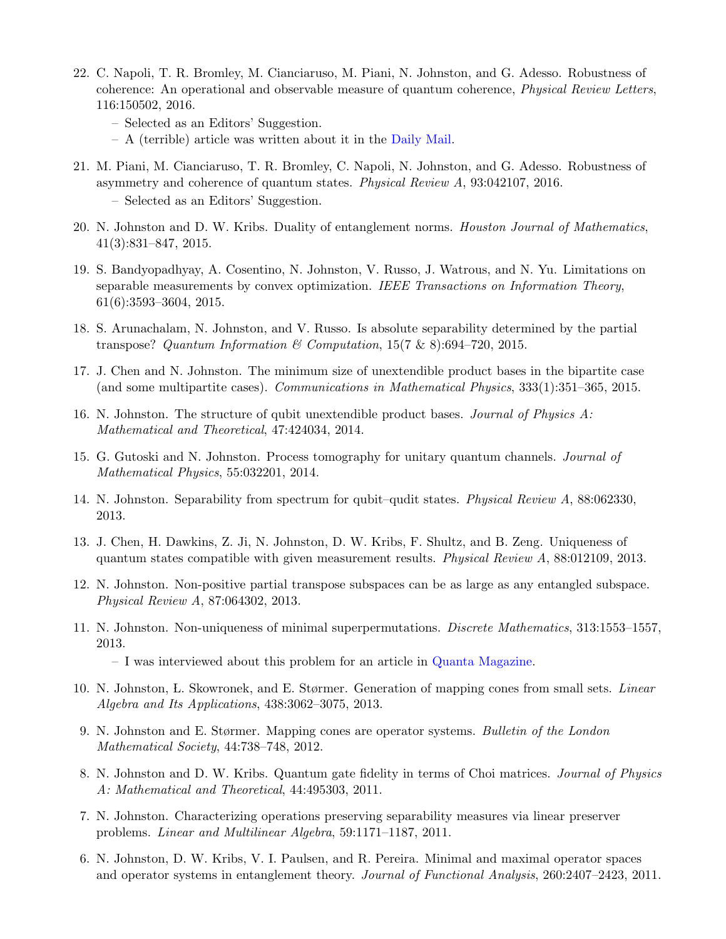- 22. C. Napoli, T. R. Bromley, M. Cianciaruso, M. Piani, N. Johnston, and G. Adesso. Robustness of coherence: An operational and observable measure of quantum coherence, Physical Review Letters, 116:150502, 2016.
	- Selected as an Editors' Suggestion.
	- A (terrible) article was written about it in the [Daily Mail.](http://www.dailymail.co.uk/sciencetech/article-3537663/What-quantum-weirdness-Physicists-reveal-new-explanation-help-build-superfast-advanced-computers.html)
- 21. M. Piani, M. Cianciaruso, T. R. Bromley, C. Napoli, N. Johnston, and G. Adesso. Robustness of asymmetry and coherence of quantum states. Physical Review A, 93:042107, 2016. – Selected as an Editors' Suggestion.
- 20. N. Johnston and D. W. Kribs. Duality of entanglement norms. Houston Journal of Mathematics, 41(3):831–847, 2015.
- 19. S. Bandyopadhyay, A. Cosentino, N. Johnston, V. Russo, J. Watrous, and N. Yu. Limitations on separable measurements by convex optimization. IEEE Transactions on Information Theory, 61(6):3593–3604, 2015.
- 18. S. Arunachalam, N. Johnston, and V. Russo. Is absolute separability determined by the partial transpose? Quantum Information & Computation,  $15(7 \& 8)$ :694–720, 2015.
- 17. J. Chen and N. Johnston. The minimum size of unextendible product bases in the bipartite case (and some multipartite cases). Communications in Mathematical Physics, 333(1):351–365, 2015.
- 16. N. Johnston. The structure of qubit unextendible product bases. Journal of Physics A: Mathematical and Theoretical, 47:424034, 2014.
- 15. G. Gutoski and N. Johnston. Process tomography for unitary quantum channels. Journal of Mathematical Physics, 55:032201, 2014.
- 14. N. Johnston. Separability from spectrum for qubit–qudit states. Physical Review A, 88:062330, 2013.
- 13. J. Chen, H. Dawkins, Z. Ji, N. Johnston, D. W. Kribs, F. Shultz, and B. Zeng. Uniqueness of quantum states compatible with given measurement results. *Physical Review A*,  $88:012109, 2013$ .
- 12. N. Johnston. Non-positive partial transpose subspaces can be as large as any entangled subspace. Physical Review A, 87:064302, 2013.
- 11. N. Johnston. Non-uniqueness of minimal superpermutations. Discrete Mathematics, 313:1553–1557, 2013.

– I was interviewed about this problem for an article in [Quanta Magazine.](https://www.quantamagazine.org/sci-fi-writer-greg-egan-and-anonymous-math-whiz-advance-permutation-problem-20181105/)

- 10. N. Johnston, L. Skowronek, and E. Størmer. Generation of mapping cones from small sets. Linear Algebra and Its Applications, 438:3062–3075, 2013.
- 9. N. Johnston and E. Størmer. Mapping cones are operator systems. Bulletin of the London Mathematical Society, 44:738–748, 2012.
- 8. N. Johnston and D. W. Kribs. Quantum gate fidelity in terms of Choi matrices. *Journal of Physics* A: Mathematical and Theoretical, 44:495303, 2011.
- 7. N. Johnston. Characterizing operations preserving separability measures via linear preserver problems. Linear and Multilinear Algebra, 59:1171–1187, 2011.
- 6. N. Johnston, D. W. Kribs, V. I. Paulsen, and R. Pereira. Minimal and maximal operator spaces and operator systems in entanglement theory. Journal of Functional Analysis, 260:2407–2423, 2011.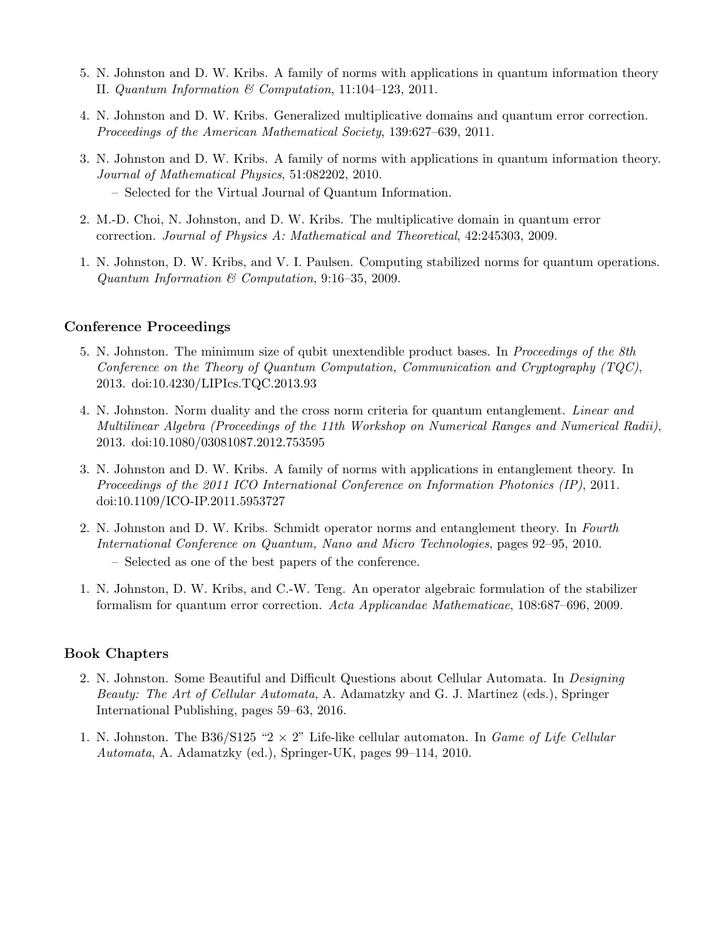- 5. N. Johnston and D. W. Kribs. A family of norms with applications in quantum information theory II. Quantum Information & Computation, 11:104–123, 2011.
- 4. N. Johnston and D. W. Kribs. Generalized multiplicative domains and quantum error correction. Proceedings of the American Mathematical Society, 139:627–639, 2011.
- 3. N. Johnston and D. W. Kribs. A family of norms with applications in quantum information theory. Journal of Mathematical Physics, 51:082202, 2010.
	- Selected for the Virtual Journal of Quantum Information.
- 2. M.-D. Choi, N. Johnston, and D. W. Kribs. The multiplicative domain in quantum error correction. Journal of Physics A: Mathematical and Theoretical, 42:245303, 2009.
- 1. N. Johnston, D. W. Kribs, and V. I. Paulsen. Computing stabilized norms for quantum operations. Quantum Information & Computation, 9:16–35, 2009.

#### Conference Proceedings

- 5. N. Johnston. The minimum size of qubit unextendible product bases. In Proceedings of the 8th Conference on the Theory of Quantum Computation, Communication and Cryptography  $(TQC)$ , 2013. doi:10.4230/LIPIcs.TQC.2013.93
- 4. N. Johnston. Norm duality and the cross norm criteria for quantum entanglement. Linear and Multilinear Algebra (Proceedings of the 11th Workshop on Numerical Ranges and Numerical Radii), 2013. doi:10.1080/03081087.2012.753595
- 3. N. Johnston and D. W. Kribs. A family of norms with applications in entanglement theory. In Proceedings of the 2011 ICO International Conference on Information Photonics (IP), 2011. doi:10.1109/ICO-IP.2011.5953727
- 2. N. Johnston and D. W. Kribs. Schmidt operator norms and entanglement theory. In Fourth International Conference on Quantum, Nano and Micro Technologies, pages 92–95, 2010. – Selected as one of the best papers of the conference.
- 1. N. Johnston, D. W. Kribs, and C.-W. Teng. An operator algebraic formulation of the stabilizer formalism for quantum error correction. Acta Applicandae Mathematicae, 108:687–696, 2009.

#### Book Chapters

- 2. N. Johnston. Some Beautiful and Difficult Questions about Cellular Automata. In Designing Beauty: The Art of Cellular Automata, A. Adamatzky and G. J. Martinez (eds.), Springer International Publishing, pages 59–63, 2016.
- 1. N. Johnston. The B36/S125 "2  $\times$  2" Life-like cellular automaton. In *Game of Life Cellular* Automata, A. Adamatzky (ed.), Springer-UK, pages 99–114, 2010.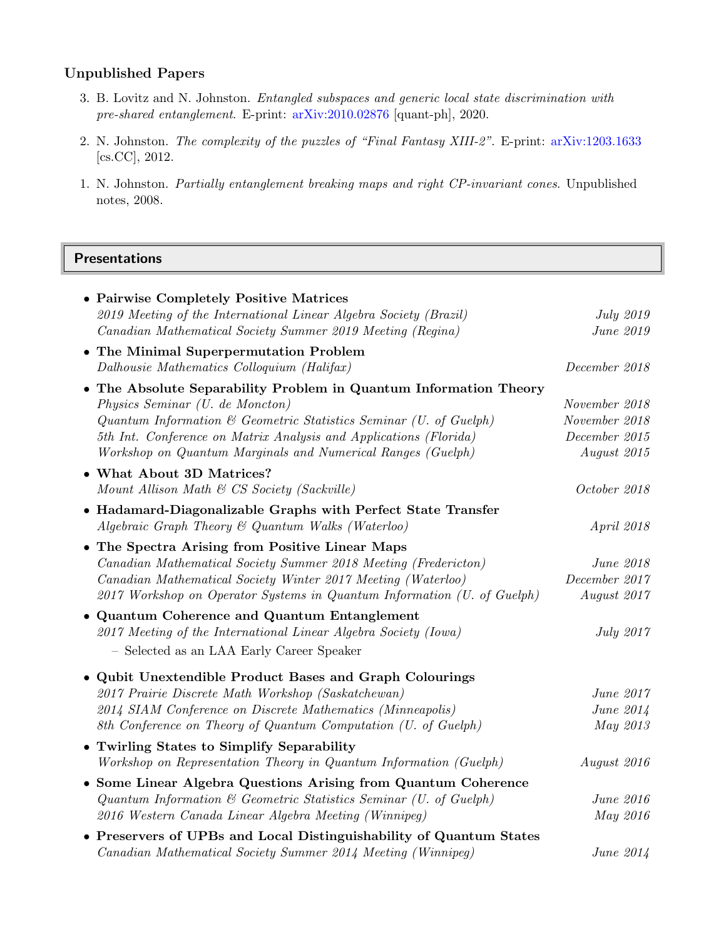## Unpublished Papers

- 3. B. Lovitz and N. Johnston. Entangled subspaces and generic local state discrimination with pre-shared entanglement. E-print: [arXiv:2010.02876](https://arxiv.org/abs/2010.02876) [quant-ph], 2020.
- 2. N. Johnston. The complexity of the puzzles of "Final Fantasy XIII-2". E-print: [arXiv:1203.1633](http://arxiv.org/abs/1203.1633) [cs.CC], 2012.
- 1. N. Johnston. Partially entanglement breaking maps and right CP-invariant cones. Unpublished notes, 2008.

## Presentations

| • Pairwise Completely Positive Matrices                                      |                   |
|------------------------------------------------------------------------------|-------------------|
| 2019 Meeting of the International Linear Algebra Society (Brazil)            | <i>July</i> 2019  |
| Canadian Mathematical Society Summer 2019 Meeting (Regina)                   | June 2019         |
| • The Minimal Superpermutation Problem                                       |                   |
| Dalhousie Mathematics Colloquium (Halifax)                                   | December 2018     |
| • The Absolute Separability Problem in Quantum Information Theory            |                   |
| Physics Seminar (U. de Moncton)                                              | November 2018     |
| Quantum Information $\mathcal C$ Geometric Statistics Seminar (U. of Guelph) | November 2018     |
| 5th Int. Conference on Matrix Analysis and Applications (Florida)            | $December\ 2015$  |
| Workshop on Quantum Marginals and Numerical Ranges (Guelph)                  | August 2015       |
| • What About 3D Matrices?                                                    |                   |
| Mount Allison Math & CS Society (Sackville)                                  | October 2018      |
| • Hadamard-Diagonalizable Graphs with Perfect State Transfer                 |                   |
| Algebraic Graph Theory & Quantum Walks (Waterloo)                            | <i>April 2018</i> |
| • The Spectra Arising from Positive Linear Maps                              |                   |
| Canadian Mathematical Society Summer 2018 Meeting (Fredericton)              | June 2018         |
| Canadian Mathematical Society Winter 2017 Meeting (Waterloo)                 | December 2017     |
| 2017 Workshop on Operator Systems in Quantum Information (U. of Guelph)      | August 2017       |
| • Quantum Coherence and Quantum Entanglement                                 |                   |
| 2017 Meeting of the International Linear Algebra Society (Iowa)              | <i>July 2017</i>  |
| - Selected as an LAA Early Career Speaker                                    |                   |
| • Qubit Unextendible Product Bases and Graph Colourings                      |                   |
| 2017 Prairie Discrete Math Workshop (Saskatchewan)                           | June 2017         |
| 2014 SIAM Conference on Discrete Mathematics (Minneapolis)                   | June 2014         |
| 8th Conference on Theory of Quantum Computation (U. of Guelph)               | May 2013          |
| • Twirling States to Simplify Separability                                   |                   |
| Workshop on Representation Theory in Quantum Information (Guelph)            | August 2016       |
| • Some Linear Algebra Questions Arising from Quantum Coherence               |                   |
| Quantum Information & Geometric Statistics Seminar (U. of Guelph)            | June 2016         |
| 2016 Western Canada Linear Algebra Meeting (Winnipeg)                        | May 2016          |
| • Preservers of UPBs and Local Distinguishability of Quantum States          |                   |
| Canadian Mathematical Society Summer 2014 Meeting (Winnipeg)                 | June 2014         |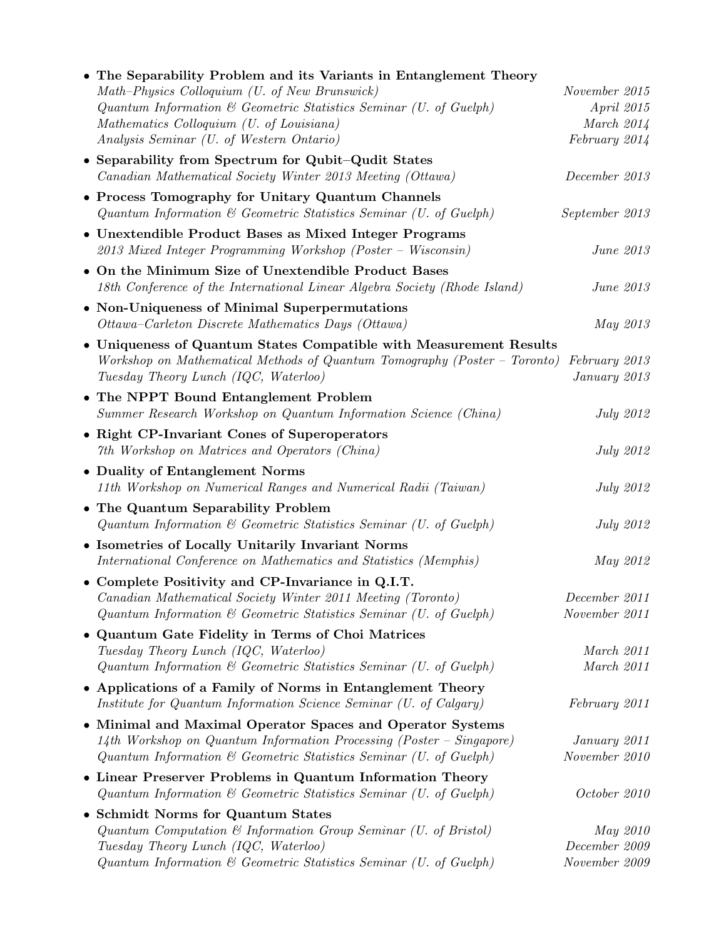| The Separability Problem and its Variants in Entanglement Theory             |                  |
|------------------------------------------------------------------------------|------------------|
| Math-Physics Colloquium (U. of New Brunswick)                                | November 2015    |
| Quantum Information & Geometric Statistics Seminar (U. of Guelph)            | April 2015       |
| Mathematics Colloquium (U. of Louisiana)                                     | March $2014$     |
| Analysis Seminar (U. of Western Ontario)                                     | February 2014    |
| • Separability from Spectrum for Qubit-Qudit States                          |                  |
| Canadian Mathematical Society Winter 2013 Meeting (Ottawa)                   | December 2013    |
| • Process Tomography for Unitary Quantum Channels                            |                  |
| Quantum Information & Geometric Statistics Seminar (U. of Guelph)            | September 2013   |
| Unextendible Product Bases as Mixed Integer Programs                         |                  |
| 2013 Mixed Integer Programming Workshop (Poster – Wisconsin)                 | June 2013        |
| • On the Minimum Size of Unextendible Product Bases                          |                  |
| 18th Conference of the International Linear Algebra Society (Rhode Island)   | June 2013        |
| • Non-Uniqueness of Minimal Superpermutations                                |                  |
| Ottawa-Carleton Discrete Mathematics Days (Ottawa)                           | May 2013         |
| • Uniqueness of Quantum States Compatible with Measurement Results           |                  |
| Workshop on Mathematical Methods of Quantum Tomography (Poster – Toronto)    | February 2013    |
| Tuesday Theory Lunch (IQC, Waterloo)                                         | January 2013     |
| • The NPPT Bound Entanglement Problem                                        |                  |
| Summer Research Workshop on Quantum Information Science (China)              | <i>July 2012</i> |
| • Right CP-Invariant Cones of Superoperators                                 |                  |
| 7th Workshop on Matrices and Operators (China)                               | <i>July 2012</i> |
| • Duality of Entanglement Norms                                              |                  |
| 11th Workshop on Numerical Ranges and Numerical Radii (Taiwan)               | <b>July 2012</b> |
| • The Quantum Separability Problem                                           |                  |
| Quantum Information $\mathcal C$ Geometric Statistics Seminar (U. of Guelph) | <i>July 2012</i> |
| • Isometries of Locally Unitarily Invariant Norms                            |                  |
| International Conference on Mathematics and Statistics (Memphis)             | May 2012         |
| • Complete Positivity and CP-Invariance in Q.I.T.                            |                  |
| Canadian Mathematical Society Winter 2011 Meeting (Toronto)                  | December 2011    |
| Quantum Information $\mathcal C$ Geometric Statistics Seminar (U. of Guelph) | November 2011    |
| Quantum Gate Fidelity in Terms of Choi Matrices                              |                  |
| Tuesday Theory Lunch (IQC, Waterloo)                                         | March 2011       |
| Quantum Information & Geometric Statistics Seminar (U. of Guelph)            | March 2011       |
| • Applications of a Family of Norms in Entanglement Theory                   |                  |
| Institute for Quantum Information Science Seminar (U. of Calgary)            | February 2011    |
| Minimal and Maximal Operator Spaces and Operator Systems<br>٠                |                  |
| 14th Workshop on Quantum Information Processing (Poster - Singapore)         | January 2011     |
| Quantum Information & Geometric Statistics Seminar (U. of Guelph)            | November 2010    |
| • Linear Preserver Problems in Quantum Information Theory                    |                  |
| Quantum Information $\mathcal C$ Geometric Statistics Seminar (U. of Guelph) | October 2010     |
| <b>Schmidt Norms for Quantum States</b><br>٠                                 |                  |
| Quantum Computation $\mathcal C$ Information Group Seminar (U. of Bristol)   | May 2010         |
| Tuesday Theory Lunch (IQC, Waterloo)                                         | December 2009    |
| Quantum Information & Geometric Statistics Seminar (U. of Guelph)            | November 2009    |
|                                                                              |                  |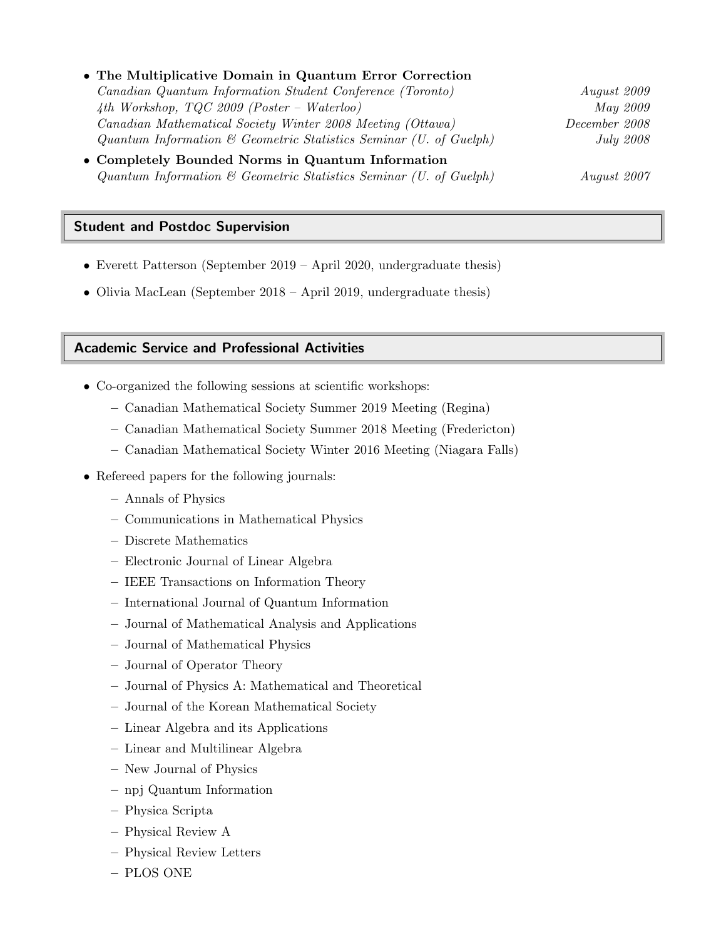| • The Multiplicative Domain in Quantum Error Correction           |                  |
|-------------------------------------------------------------------|------------------|
| Canadian Quantum Information Student Conference (Toronto)         | August 2009      |
| 4th Workshop, $TQC$ 2009 (Poster – Waterloo)                      | <i>May</i> 2009  |
| Canadian Mathematical Society Winter 2008 Meeting (Ottawa)        | December 2008    |
| Quantum Information & Geometric Statistics Seminar (U. of Guelph) | <i>July 2008</i> |
| • Completely Bounded Norms in Quantum Information                 |                  |
| Quantum Information & Geometric Statistics Seminar (U. of Guelph) | August 2007      |

#### Student and Postdoc Supervision

- Everett Patterson (September 2019 April 2020, undergraduate thesis)
- Olivia MacLean (September 2018 April 2019, undergraduate thesis)

#### Academic Service and Professional Activities

- Co-organized the following sessions at scientific workshops:
	- Canadian Mathematical Society Summer 2019 Meeting (Regina)
	- Canadian Mathematical Society Summer 2018 Meeting (Fredericton)
	- Canadian Mathematical Society Winter 2016 Meeting (Niagara Falls)
- Refereed papers for the following journals:
	- Annals of Physics
	- Communications in Mathematical Physics
	- Discrete Mathematics
	- Electronic Journal of Linear Algebra
	- IEEE Transactions on Information Theory
	- International Journal of Quantum Information
	- Journal of Mathematical Analysis and Applications
	- Journal of Mathematical Physics
	- Journal of Operator Theory
	- Journal of Physics A: Mathematical and Theoretical
	- Journal of the Korean Mathematical Society
	- Linear Algebra and its Applications
	- Linear and Multilinear Algebra
	- New Journal of Physics
	- npj Quantum Information
	- Physica Scripta
	- Physical Review A
	- Physical Review Letters
	- PLOS ONE